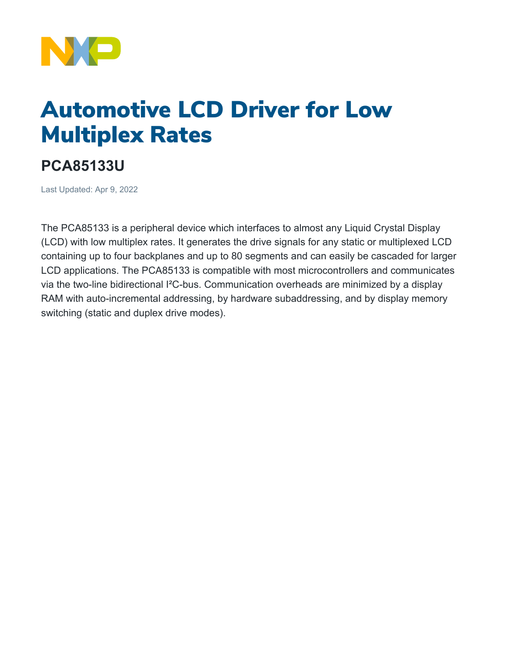

## Automotive LCD Driver for Low Multiplex Rates

## **PCA85133U**

Last Updated: Apr 9, 2022

The PCA85133 is a peripheral device which interfaces to almost any Liquid Crystal Display (LCD) with low multiplex rates. It generates the drive signals for any static or multiplexed LCD containing up to four backplanes and up to 80 segments and can easily be cascaded for larger LCD applications. The PCA85133 is compatible with most microcontrollers and communicates via the two-line bidirectional I²C-bus. Communication overheads are minimized by a display RAM with auto-incremental addressing, by hardware subaddressing, and by display memory switching (static and duplex drive modes).